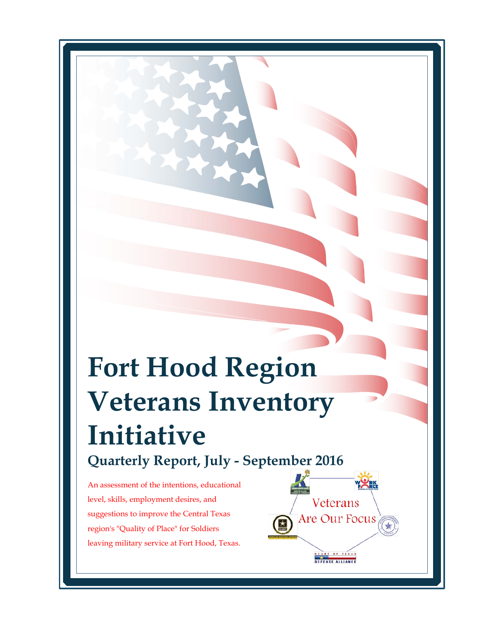# **Fort Hood Region Veterans Inventory Initiative Quarterly Report, July - September 2016**

An assessment of the intentions, educational level, skills, employment desires, and suggestions to improve the Central Texas region's "Quality of Place" for Soldiers leaving military service at Fort Hood, Texas. 

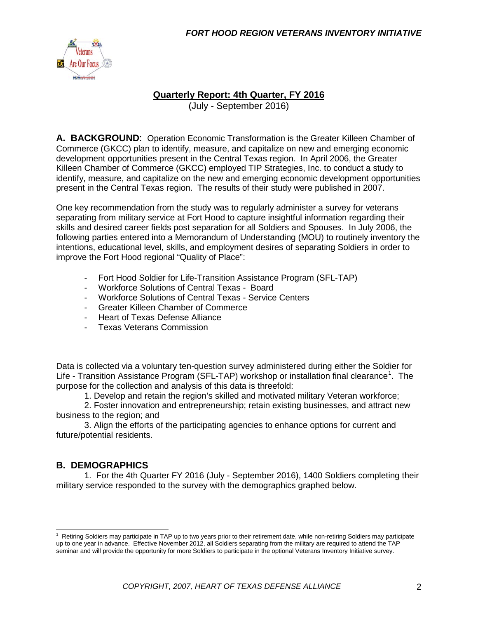

#### **Quarterly Report: 4th Quarter, FY 2016**

(July - September 2016)

**A. BACKGROUND**: Operation Economic Transformation is the Greater Killeen Chamber of Commerce (GKCC) plan to identify, measure, and capitalize on new and emerging economic development opportunities present in the Central Texas region. In April 2006, the Greater Killeen Chamber of Commerce (GKCC) employed TIP Strategies, Inc. to conduct a study to identify, measure, and capitalize on the new and emerging economic development opportunities present in the Central Texas region. The results of their study were published in 2007.

One key recommendation from the study was to regularly administer a survey for veterans separating from military service at Fort Hood to capture insightful information regarding their skills and desired career fields post separation for all Soldiers and Spouses. In July 2006, the following parties entered into a Memorandum of Understanding (MOU) to routinely inventory the intentions, educational level, skills, and employment desires of separating Soldiers in order to improve the Fort Hood regional "Quality of Place":

- Fort Hood Soldier for Life-Transition Assistance Program (SFL-TAP)
- Workforce Solutions of Central Texas Board
- Workforce Solutions of Central Texas Service Centers
- Greater Killeen Chamber of Commerce
- Heart of Texas Defense Alliance
- Texas Veterans Commission

Data is collected via a voluntary ten-question survey administered during either the Soldier for Life - Transition Assistance Program (SFL-TAP) workshop or installation final clearance<sup>[1](#page-1-0)</sup>. The purpose for the collection and analysis of this data is threefold:

1. Develop and retain the region's skilled and motivated military Veteran workforce;

2. Foster innovation and entrepreneurship; retain existing businesses, and attract new business to the region; and

3. Align the efforts of the participating agencies to enhance options for current and future/potential residents.

#### **B. DEMOGRAPHICS**

1. For the 4th Quarter FY 2016 (July - September 2016), 1400 Soldiers completing their military service responded to the survey with the demographics graphed below.

<span id="page-1-0"></span><sup>|&</sup>lt;br>1  $1$  Retiring Soldiers may participate in TAP up to two years prior to their retirement date, while non-retiring Soldiers may participate up to one year in advance. Effective November 2012, all Soldiers separating from the military are required to attend the TAP seminar and will provide the opportunity for more Soldiers to participate in the optional Veterans Inventory Initiative survey.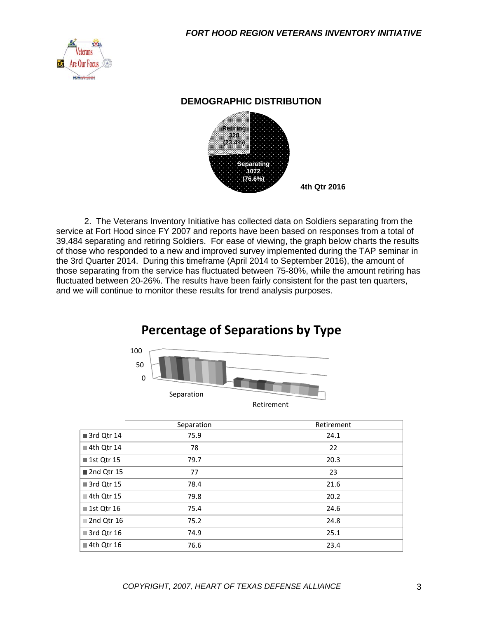

#### **DEMOGRAPHIC DISTRIBUTION**



2. The Veterans Inventory Initiative has collected data on Soldiers separating from the service at Fort Hood since FY 2007 and reports have been based on responses from a total of 39,484 separating and retiring Soldiers. For ease of viewing, the graph below charts the results of those who responded to a new and improved survey implemented during the TAP seminar in the 3rd Quarter 2014. During this timeframe (April 2014 to September 2016), the amount of those separating from the service has fluctuated between 75-80%, while the amount retiring has fluctuated between 20-26%. The results have been fairly consistent for the past ten quarters, and we will continue to monitor these results for trend analysis purposes.

# **Percentage of Separations by Type**



|              | Separation | Retirement |
|--------------|------------|------------|
| 3rd Qtr 14   | 75.9       | 24.1       |
| 4th Qtr 14   | 78         | 22         |
| ■ 1st Qtr 15 | 79.7       | 20.3       |
| 2nd Qtr 15   | 77         | 23         |
| 3rd Qtr 15   | 78.4       | 21.6       |
| ■ 4th Qtr 15 | 79.8       | 20.2       |
| ■ 1st Qtr 16 | 75.4       | 24.6       |
| 2nd Qtr 16   | 75.2       | 24.8       |
| 3rd Qtr 16   | 74.9       | 25.1       |
| ■ 4th Qtr 16 | 76.6       | 23.4       |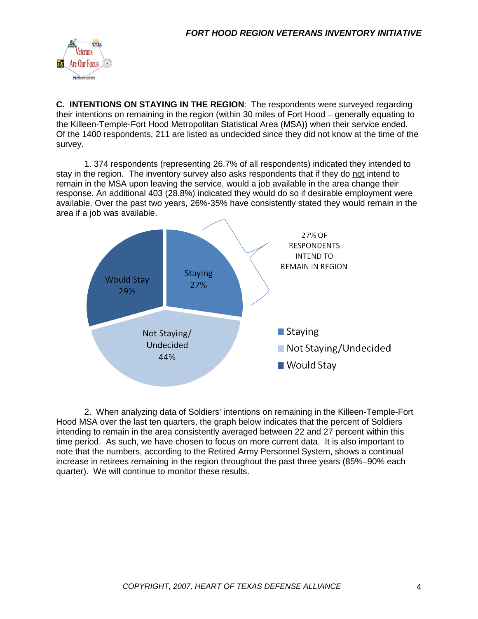

**C. INTENTIONS ON STAYING IN THE REGION**: The respondents were surveyed regarding their intentions on remaining in the region (within 30 miles of Fort Hood – generally equating to the Killeen-Temple-Fort Hood Metropolitan Statistical Area (MSA)) when their service ended. Of the 1400 respondents, 211 are listed as undecided since they did not know at the time of the survey.

1. 374 respondents (representing 26.7% of all respondents) indicated they intended to stay in the region. The inventory survey also asks respondents that if they do not intend to remain in the MSA upon leaving the service, would a job available in the area change their response. An additional 403 (28.8%) indicated they would do so if desirable employment were available. Over the past two years, 26%-35% have consistently stated they would remain in the area if a job was available.



2. When analyzing data of Soldiers' intentions on remaining in the Killeen-Temple-Fort Hood MSA over the last ten quarters, the graph below indicates that the percent of Soldiers intending to remain in the area consistently averaged between 22 and 27 percent within this time period. As such, we have chosen to focus on more current data. It is also important to note that the numbers, according to the Retired Army Personnel System, shows a continual increase in retirees remaining in the region throughout the past three years (85%–90% each quarter). We will continue to monitor these results.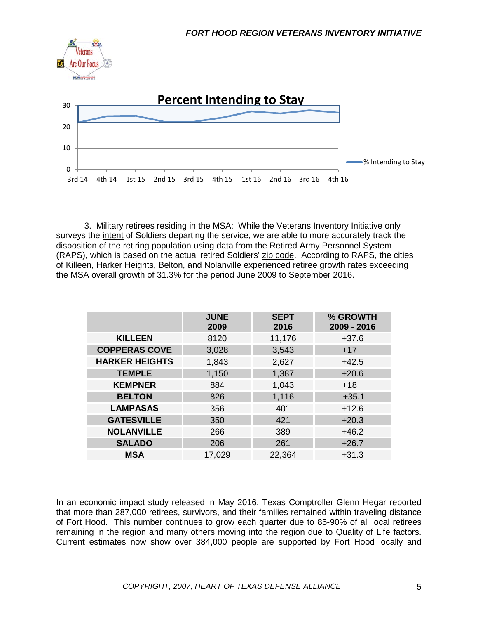

3. Military retirees residing in the MSA: While the Veterans Inventory Initiative only surveys the *intent* of Soldiers departing the service, we are able to more accurately track the disposition of the retiring population using data from the Retired Army Personnel System (RAPS), which is based on the actual retired Soldiers' zip code. According to RAPS, the cities of Killeen, Harker Heights, Belton, and Nolanville experienced retiree growth rates exceeding the MSA overall growth of 31.3% for the period June 2009 to September 2016.

|                       | <b>JUNE</b><br>2009 | <b>SEPT</b><br>2016 | % GROWTH<br>2009 - 2016 |
|-----------------------|---------------------|---------------------|-------------------------|
| <b>KILLEEN</b>        | 8120                | 11,176              | $+37.6$                 |
| <b>COPPERAS COVE</b>  | 3,028               | 3,543               | $+17$                   |
| <b>HARKER HEIGHTS</b> | 1,843               | 2,627               | $+42.5$                 |
| <b>TEMPLE</b>         | 1,150               | 1,387               | $+20.6$                 |
| <b>KEMPNER</b>        | 884                 | 1,043               | $+18$                   |
| <b>BELTON</b>         | 826                 | 1,116               | $+35.1$                 |
| <b>LAMPASAS</b>       | 356                 | 401                 | $+12.6$                 |
| <b>GATESVILLE</b>     | 350                 | 421                 | $+20.3$                 |
| <b>NOLANVILLE</b>     | 266                 | 389                 | $+46.2$                 |
| <b>SALADO</b>         | 206                 | 261                 | $+26.7$                 |
| <b>MSA</b>            | 17,029              | 22,364              | $+31.3$                 |

In an economic impact study released in May 2016, Texas Comptroller Glenn Hegar reported that more than 287,000 retirees, survivors, and their families remained within traveling distance of Fort Hood. This number continues to grow each quarter due to 85-90% of all local retirees remaining in the region and many others moving into the region due to Quality of Life factors. Current estimates now show over 384,000 people are supported by Fort Hood locally and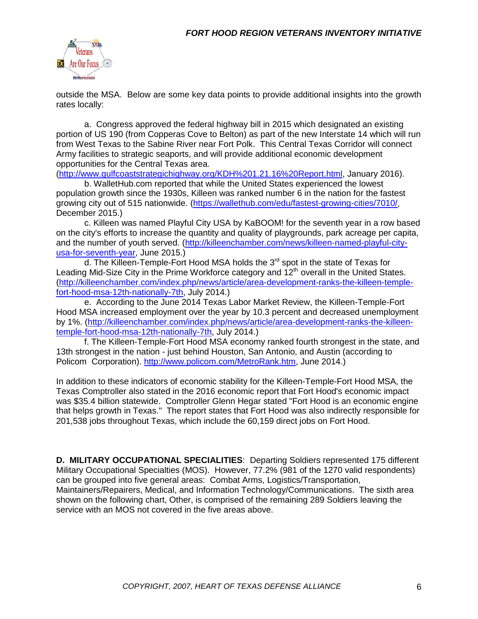

outside the MSA. Below are some key data points to provide additional insights into the growth rates locally:

a. Congress approved the federal highway bill in 2015 which designated an existing portion of US 190 (from Copperas Cove to Belton) as part of the new Interstate 14 which will run from West Texas to the Sabine River near Fort Polk. This Central Texas Corridor will connect Army facilities to strategic seaports, and will provide additional economic development opportunities for the Central Texas area.

[\(http://www.gulfcoaststrategichighway.org/KDH%201.21.16%20Report.html,](http://www.gulfcoaststrategichighway.org/KDH%201.21.16%20Report.html) January 2016).

b. WalletHub.com reported that while the United States experienced the lowest population growth since the 1930s, Killeen was ranked number 6 in the nation for the fastest growing city out of 515 nationwide. [\(https://wallethub.com/edu/fastest-growing-cities/7010/,](https://wallethub.com/edu/fastest-growing-cities/7010/) December 2015.)

c. Killeen was named Playful City USA by KaBOOM! for the seventh year in a row based on the city's efforts to increase the quantity and quality of playgrounds, park acreage per capita, and the number of youth served. [\(http://killeenchamber.com/news/killeen-named-playful-city](http://killeenchamber.com/news/killeen-named-playful-city-usa-for-seventh-year)[usa-for-seventh-year,](http://killeenchamber.com/news/killeen-named-playful-city-usa-for-seventh-year) June 2015.)

d. The Killeen-Temple-Fort Hood MSA holds the  $3<sup>rd</sup>$  spot in the state of Texas for Leading Mid-Size City in the Prime Workforce category and  $12<sup>th</sup>$  overall in the United States. [\(http://killeenchamber.com/index.php/news/article/area-development-ranks-the-killeen-temple](http://killeenchamber.com/index.php/news/article/area-development-ranks-the-killeen-temple-fort-hood-msa-12th-nationally-7th)[fort-hood-msa-12th-nationally-7th,](http://killeenchamber.com/index.php/news/article/area-development-ranks-the-killeen-temple-fort-hood-msa-12th-nationally-7th) July 2014.)

e. According to the June 2014 Texas Labor Market Review, the Killeen-Temple-Fort Hood MSA increased employment over the year by 10.3 percent and decreased unemployment by 1%. [\(http://killeenchamber.com/index.php/news/article/area-development-ranks-the-killeen](http://killeenchamber.com/index.php/news/article/area-development-ranks-the-killeen-temple-fort-hood-msa-12th-nationally-7th)[temple-fort-hood-msa-12th-nationally-7th,](http://killeenchamber.com/index.php/news/article/area-development-ranks-the-killeen-temple-fort-hood-msa-12th-nationally-7th) July 2014.)

f. The Killeen-Temple-Fort Hood MSA economy ranked fourth strongest in the state, and 13th strongest in the nation - just behind Houston, San Antonio, and Austin (according to Policom Corporation). [http://www.policom.com/MetroRank.htm,](http://www.policom.com/MetroRank.htm) June 2014.)

In addition to these indicators of economic stability for the Killeen-Temple-Fort Hood MSA, the Texas Comptroller also stated in the 2016 economic report that Fort Hood's economic impact was \$35.4 billion statewide. Comptroller Glenn Hegar stated "Fort Hood is an economic engine that helps growth in Texas." The report states that Fort Hood was also indirectly responsible for 201,538 jobs throughout Texas, which include the 60,159 direct jobs on Fort Hood.

**D. MILITARY OCCUPATIONAL SPECIALITIES**: Departing Soldiers represented 175 different Military Occupational Specialties (MOS). However, 77.2% (981 of the 1270 valid respondents) can be grouped into five general areas: Combat Arms, Logistics/Transportation, Maintainers/Repairers, Medical, and Information Technology/Communications. The sixth area shown on the following chart, Other, is comprised of the remaining 289 Soldiers leaving the service with an MOS not covered in the five areas above.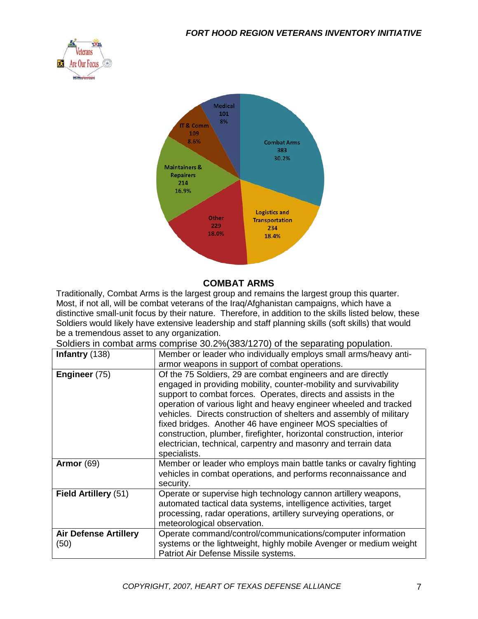



#### **COMBAT ARMS**

Traditionally, Combat Arms is the largest group and remains the largest group this quarter. Most, if not all, will be combat veterans of the Iraq/Afghanistan campaigns, which have a distinctive small-unit focus by their nature. Therefore, in addition to the skills listed below, these Soldiers would likely have extensive leadership and staff planning skills (soft skills) that would be a tremendous asset to any organization.

Soldiers in combat arms comprise 30.2%(383/1270) of the separating population.

| Infantry (138)                       | Member or leader who individually employs small arms/heavy anti-<br>armor weapons in support of combat operations.                                                                                                                                                                                                                                                                                                                                                                                                                                                       |
|--------------------------------------|--------------------------------------------------------------------------------------------------------------------------------------------------------------------------------------------------------------------------------------------------------------------------------------------------------------------------------------------------------------------------------------------------------------------------------------------------------------------------------------------------------------------------------------------------------------------------|
| Engineer (75)                        | Of the 75 Soldiers, 29 are combat engineers and are directly<br>engaged in providing mobility, counter-mobility and survivability<br>support to combat forces. Operates, directs and assists in the<br>operation of various light and heavy engineer wheeled and tracked<br>vehicles. Directs construction of shelters and assembly of military<br>fixed bridges. Another 46 have engineer MOS specialties of<br>construction, plumber, firefighter, horizontal construction, interior<br>electrician, technical, carpentry and masonry and terrain data<br>specialists. |
| Armor $(69)$                         | Member or leader who employs main battle tanks or cavalry fighting<br>vehicles in combat operations, and performs reconnaissance and<br>security.                                                                                                                                                                                                                                                                                                                                                                                                                        |
| Field Artillery (51)                 | Operate or supervise high technology cannon artillery weapons,<br>automated tactical data systems, intelligence activities, target<br>processing, radar operations, artillery surveying operations, or<br>meteorological observation.                                                                                                                                                                                                                                                                                                                                    |
| <b>Air Defense Artillery</b><br>(50) | Operate command/control/communications/computer information<br>systems or the lightweight, highly mobile Avenger or medium weight<br>Patriot Air Defense Missile systems.                                                                                                                                                                                                                                                                                                                                                                                                |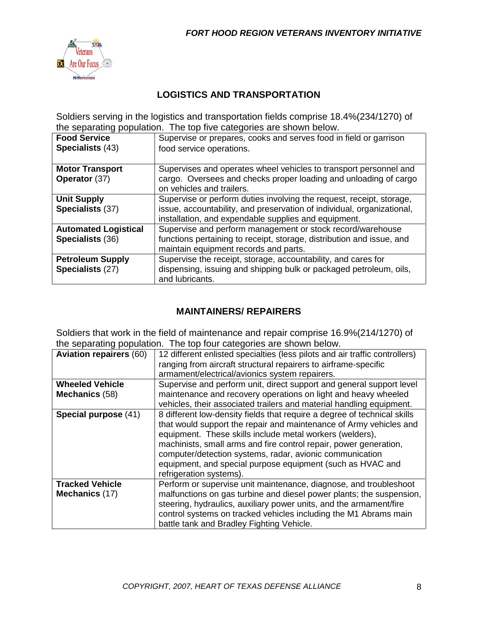

#### **LOGISTICS AND TRANSPORTATION**

Soldiers serving in the logistics and transportation fields comprise 18.4%(234/1270) of the separating population. The top five categories are shown below.

| <b>Food Service</b><br>Specialists (43)         | Supervise or prepares, cooks and serves food in field or garrison<br>food service operations.                                                                                                          |  |
|-------------------------------------------------|--------------------------------------------------------------------------------------------------------------------------------------------------------------------------------------------------------|--|
| <b>Motor Transport</b><br>Operator (37)         | Supervises and operates wheel vehicles to transport personnel and<br>cargo. Oversees and checks proper loading and unloading of cargo<br>on vehicles and trailers.                                     |  |
| <b>Unit Supply</b><br>Specialists (37)          | Supervise or perform duties involving the request, receipt, storage,<br>issue, accountability, and preservation of individual, organizational,<br>installation, and expendable supplies and equipment. |  |
| <b>Automated Logistical</b><br>Specialists (36) | Supervise and perform management or stock record/warehouse<br>functions pertaining to receipt, storage, distribution and issue, and<br>maintain equipment records and parts.                           |  |
| <b>Petroleum Supply</b><br>Specialists (27)     | Supervise the receipt, storage, accountability, and cares for<br>dispensing, issuing and shipping bulk or packaged petroleum, oils,<br>and lubricants.                                                 |  |

#### **MAINTAINERS/ REPAIRERS**

Soldiers that work in the field of maintenance and repair comprise 16.9%(214/1270) of the separating population. The top four categories are shown below.

| <b>Aviation repairers (60)</b>           | 12 different enlisted specialties (less pilots and air traffic controllers)<br>ranging from aircraft structural repairers to airframe-specific<br>armament/electrical/avionics system repairers.                                                                                                                                                                                                                                     |
|------------------------------------------|--------------------------------------------------------------------------------------------------------------------------------------------------------------------------------------------------------------------------------------------------------------------------------------------------------------------------------------------------------------------------------------------------------------------------------------|
| <b>Wheeled Vehicle</b><br>Mechanics (58) | Supervise and perform unit, direct support and general support level<br>maintenance and recovery operations on light and heavy wheeled<br>vehicles, their associated trailers and material handling equipment.                                                                                                                                                                                                                       |
| Special purpose (41)                     | 8 different low-density fields that require a degree of technical skills<br>that would support the repair and maintenance of Army vehicles and<br>equipment. These skills include metal workers (welders),<br>machinists, small arms and fire control repair, power generation,<br>computer/detection systems, radar, avionic communication<br>equipment, and special purpose equipment (such as HVAC and<br>refrigeration systems). |
| <b>Tracked Vehicle</b><br>Mechanics (17) | Perform or supervise unit maintenance, diagnose, and troubleshoot<br>malfunctions on gas turbine and diesel power plants; the suspension,<br>steering, hydraulics, auxiliary power units, and the armament/fire<br>control systems on tracked vehicles including the M1 Abrams main<br>battle tank and Bradley Fighting Vehicle.                                                                                                     |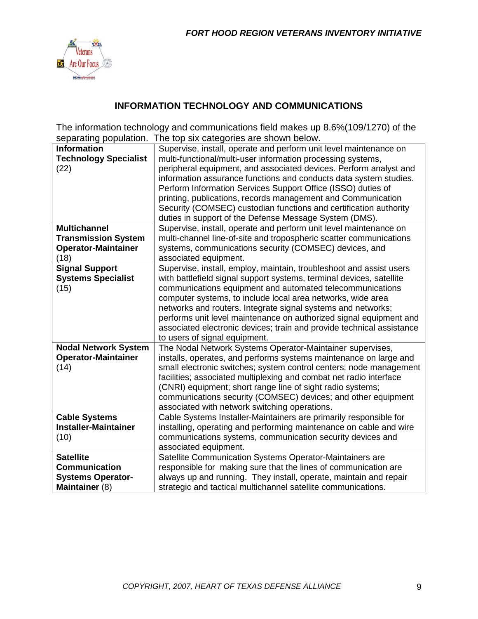

### **INFORMATION TECHNOLOGY AND COMMUNICATIONS**

The information technology and communications field makes up 8.6%(109/1270) of the separating population. The top six categories are shown below.

| <b>Information</b>           | Supervise, install, operate and perform unit level maintenance on     |
|------------------------------|-----------------------------------------------------------------------|
| <b>Technology Specialist</b> | multi-functional/multi-user information processing systems,           |
| (22)                         | peripheral equipment, and associated devices. Perform analyst and     |
|                              | information assurance functions and conducts data system studies.     |
|                              | Perform Information Services Support Office (ISSO) duties of          |
|                              | printing, publications, records management and Communication          |
|                              | Security (COMSEC) custodian functions and certification authority     |
|                              | duties in support of the Defense Message System (DMS).                |
| <b>Multichannel</b>          | Supervise, install, operate and perform unit level maintenance on     |
| <b>Transmission System</b>   | multi-channel line-of-site and tropospheric scatter communications    |
| <b>Operator-Maintainer</b>   | systems, communications security (COMSEC) devices, and                |
| (18)                         | associated equipment.                                                 |
| <b>Signal Support</b>        | Supervise, install, employ, maintain, troubleshoot and assist users   |
| <b>Systems Specialist</b>    | with battlefield signal support systems, terminal devices, satellite  |
| (15)                         | communications equipment and automated telecommunications             |
|                              | computer systems, to include local area networks, wide area           |
|                              | networks and routers. Integrate signal systems and networks;          |
|                              | performs unit level maintenance on authorized signal equipment and    |
|                              | associated electronic devices; train and provide technical assistance |
|                              | to users of signal equipment.                                         |
| <b>Nodal Network System</b>  | The Nodal Network Systems Operator-Maintainer supervises,             |
| <b>Operator-Maintainer</b>   | installs, operates, and performs systems maintenance on large and     |
| (14)                         | small electronic switches; system control centers; node management    |
|                              | facilities; associated multiplexing and combat net radio interface    |
|                              | (CNRI) equipment; short range line of sight radio systems;            |
|                              | communications security (COMSEC) devices; and other equipment         |
|                              | associated with network switching operations.                         |
| <b>Cable Systems</b>         | Cable Systems Installer-Maintainers are primarily responsible for     |
| <b>Installer-Maintainer</b>  | installing, operating and performing maintenance on cable and wire    |
| (10)                         | communications systems, communication security devices and            |
|                              | associated equipment.                                                 |
| <b>Satellite</b>             | Satellite Communication Systems Operator-Maintainers are              |
| <b>Communication</b>         | responsible for making sure that the lines of communication are       |
| <b>Systems Operator-</b>     | always up and running. They install, operate, maintain and repair     |
| Maintainer (8)               | strategic and tactical multichannel satellite communications.         |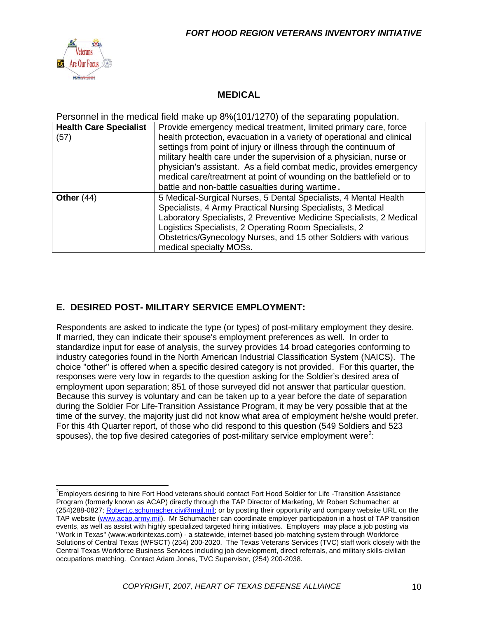

#### **MEDICAL**

Personnel in the medical field make up 8%(101/1270) of the separating population.

| <b>Health Care Specialist</b><br>(57) | Provide emergency medical treatment, limited primary care, force<br>health protection, evacuation in a variety of operational and clinical<br>settings from point of injury or illness through the continuum of<br>military health care under the supervision of a physician, nurse or<br>physician's assistant. As a field combat medic, provides emergency<br>medical care/treatment at point of wounding on the battlefield or to<br>battle and non-battle casualties during wartime. |
|---------------------------------------|------------------------------------------------------------------------------------------------------------------------------------------------------------------------------------------------------------------------------------------------------------------------------------------------------------------------------------------------------------------------------------------------------------------------------------------------------------------------------------------|
| Other $(44)$                          | 5 Medical-Surgical Nurses, 5 Dental Specialists, 4 Mental Health<br>Specialists, 4 Army Practical Nursing Specialists, 3 Medical<br>Laboratory Specialists, 2 Preventive Medicine Specialists, 2 Medical<br>Logistics Specialists, 2 Operating Room Specialists, 2<br>Obstetrics/Gynecology Nurses, and 15 other Soldiers with various<br>medical specialty MOSs.                                                                                                                        |

#### **E. DESIRED POST- MILITARY SERVICE EMPLOYMENT:**

Respondents are asked to indicate the type (or types) of post-military employment they desire. If married, they can indicate their spouse's employment preferences as well. In order to standardize input for ease of analysis, the survey provides 14 broad categories conforming to industry categories found in the North American Industrial Classification System (NAICS). The choice "other" is offered when a specific desired category is not provided. For this quarter, the responses were very low in regards to the question asking for the Soldier's desired area of employment upon separation; 851 of those surveyed did not answer that particular question. Because this survey is voluntary and can be taken up to a year before the date of separation during the Soldier For Life-Transition Assistance Program, it may be very possible that at the time of the survey, the majority just did not know what area of employment he/she would prefer. For this 4th Quarter report, of those who did respond to this question (549 Soldiers and 523 spouses), the top five desired categories of post-military service employment were<sup>[2](#page-9-0)</sup>:

<span id="page-9-0"></span>2 Employers desiring to hire Fort Hood veterans should contact Fort Hood Soldier for Life -Transition Assistance Program (formerly known as ACAP) directly through the TAP Director of Marketing, Mr Robert Schumacher: at (254)288-0827; [Robert.c.schumacher.civ@mail.mil;](mailto:Robert.c.schumacher.civ@mail.mil) or by posting their opportunity and company website URL on the TAP website [\(www.acap.army.mil\)](http://www.acap.army.mil/). Mr Schumacher can coordinate employer participation in a host of TAP transition events, as well as assist with highly specialized targeted hiring initiatives. Employers may place a job posting via "Work in Texas" (www.workintexas.com) - a statewide, internet-based job-matching system through Workforce Solutions of Central Texas (WFSCT) (254) 200-2020. The Texas Veterans Services (TVC) staff work closely with the Central Texas Workforce Business Services including job development, direct referrals, and military skills-civilian occupations matching. Contact Adam Jones, TVC Supervisor, (254) 200-2038.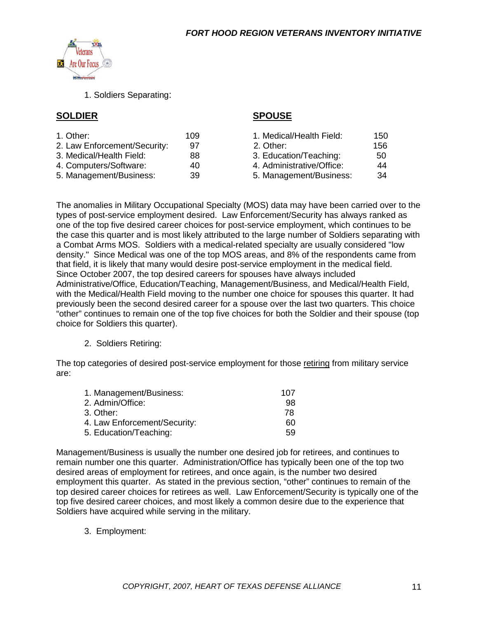

1. Soldiers Separating:

#### **SOLDIER SPOUSE**

| 1. Other:                    | 109 | 1. Medical/Health Field:  | 150 |
|------------------------------|-----|---------------------------|-----|
| 2. Law Enforcement/Security: | 97  | 2. Other:                 | 156 |
| 3. Medical/Health Field:     | 88  | 3. Education/Teaching:    | 50  |
| 4. Computers/Software:       | 40  | 4. Administrative/Office: | 44  |
| 5. Management/Business:      | 39  | 5. Management/Business:   | -34 |
|                              |     |                           |     |

The anomalies in Military Occupational Specialty (MOS) data may have been carried over to the types of post-service employment desired. Law Enforcement/Security has always ranked as one of the top five desired career choices for post-service employment, which continues to be the case this quarter and is most likely attributed to the large number of Soldiers separating with a Combat Arms MOS. Soldiers with a medical-related specialty are usually considered "low density." Since Medical was one of the top MOS areas, and 8% of the respondents came from that field, it is likely that many would desire post-service employment in the medical field. Since October 2007, the top desired careers for spouses have always included Administrative/Office, Education/Teaching, Management/Business, and Medical/Health Field, with the Medical/Health Field moving to the number one choice for spouses this quarter. It had previously been the second desired career for a spouse over the last two quarters. This choice "other" continues to remain one of the top five choices for both the Soldier and their spouse (top choice for Soldiers this quarter).

#### 2. Soldiers Retiring:

The top categories of desired post-service employment for those retiring from military service are:

| 1. Management/Business:      | 107 |
|------------------------------|-----|
| 2. Admin/Office:             | .98 |
| 3. Other:                    | 78  |
| 4. Law Enforcement/Security: | 60  |
| 5. Education/Teaching:       | 59  |

Management/Business is usually the number one desired job for retirees, and continues to remain number one this quarter. Administration/Office has typically been one of the top two desired areas of employment for retirees, and once again, is the number two desired employment this quarter. As stated in the previous section, "other" continues to remain of the top desired career choices for retirees as well. Law Enforcement/Security is typically one of the top five desired career choices, and most likely a common desire due to the experience that Soldiers have acquired while serving in the military.

3. Employment: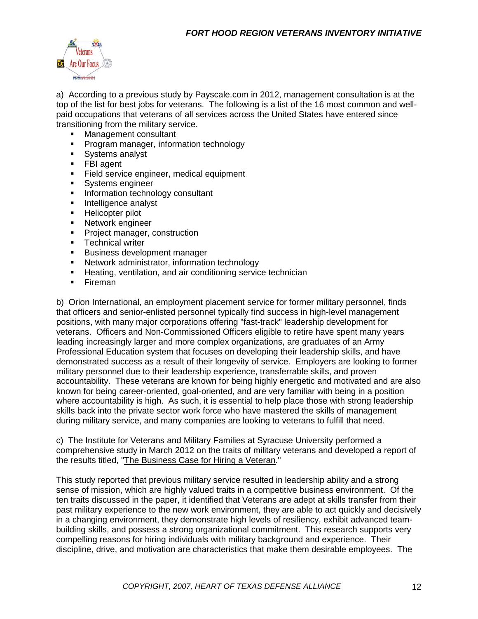

a) According to a previous study by Payscale.com in 2012, management consultation is at the top of the list for best jobs for veterans. The following is a list of the 16 most common and wellpaid occupations that veterans of all services across the United States have entered since transitioning from the military service.

- Management consultant
- **Program manager, information technology**
- **Systems analyst**
- **FBI** agent
- **Field service engineer, medical equipment**
- **Systems engineer**
- **Information technology consultant**
- **Intelligence analyst**
- **Helicopter pilot**
- **Network engineer**
- **Project manager, construction**
- **Technical writer**
- **Business development manager**
- **Network administrator, information technology**
- **Heating, ventilation, and air conditioning service technician**
- **Fireman**

b) Orion International, an employment placement service for former military personnel, finds that officers and senior-enlisted personnel typically find success in high-level management positions, with many major corporations offering "fast-track" leadership development for veterans. Officers and Non-Commissioned Officers eligible to retire have spent many years leading increasingly larger and more complex organizations, are graduates of an Army Professional Education system that focuses on developing their leadership skills, and have demonstrated success as a result of their longevity of service. Employers are looking to former military personnel due to their leadership experience, transferrable skills, and proven accountability. These veterans are known for being highly energetic and motivated and are also known for being career-oriented, goal-oriented, and are very familiar with being in a position where accountability is high. As such, it is essential to help place those with strong leadership skills back into the private sector work force who have mastered the skills of management during military service, and many companies are looking to veterans to fulfill that need.

c) The Institute for Veterans and Military Families at Syracuse University performed a comprehensive study in March 2012 on the traits of military veterans and developed a report of the results titled, "The Business Case for Hiring a Veteran."

This study reported that previous military service resulted in leadership ability and a strong sense of mission, which are highly valued traits in a competitive business environment. Of the ten traits discussed in the paper, it identified that Veterans are adept at skills transfer from their past military experience to the new work environment, they are able to act quickly and decisively in a changing environment, they demonstrate high levels of resiliency, exhibit advanced teambuilding skills, and possess a strong organizational commitment. This research supports very compelling reasons for hiring individuals with military background and experience. Their discipline, drive, and motivation are characteristics that make them desirable employees. The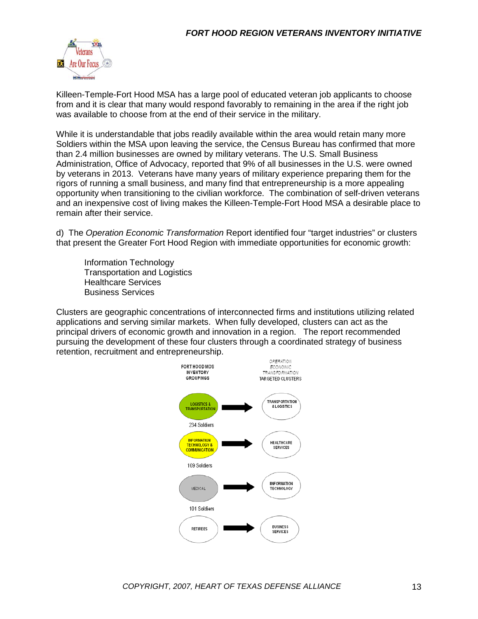

Killeen-Temple-Fort Hood MSA has a large pool of educated veteran job applicants to choose from and it is clear that many would respond favorably to remaining in the area if the right job was available to choose from at the end of their service in the military.

While it is understandable that jobs readily available within the area would retain many more Soldiers within the MSA upon leaving the service, the Census Bureau has confirmed that more than 2.4 million businesses are owned by military veterans. The U.S. Small Business Administration, Office of Advocacy, reported that 9% of all businesses in the U.S. were owned by veterans in 2013. Veterans have many years of military experience preparing them for the rigors of running a small business, and many find that entrepreneurship is a more appealing opportunity when transitioning to the civilian workforce. The combination of self-driven veterans and an inexpensive cost of living makes the Killeen-Temple-Fort Hood MSA a desirable place to remain after their service.

d) The *Operation Economic Transformation* Report identified four "target industries" or clusters that present the Greater Fort Hood Region with immediate opportunities for economic growth:

Information Technology Transportation and Logistics Healthcare Services Business Services

Clusters are geographic concentrations of interconnected firms and institutions utilizing related applications and serving similar markets. When fully developed, clusters can act as the principal drivers of economic growth and innovation in a region. The report recommended pursuing the development of these four clusters through a coordinated strategy of business retention, recruitment and entrepreneurship.

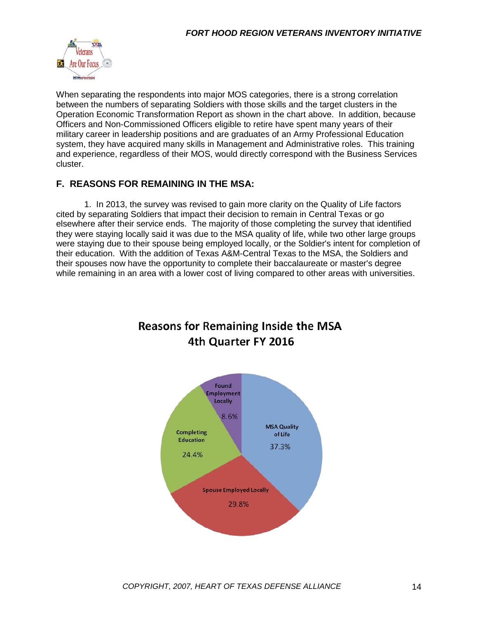

When separating the respondents into major MOS categories, there is a strong correlation between the numbers of separating Soldiers with those skills and the target clusters in the Operation Economic Transformation Report as shown in the chart above. In addition, because Officers and Non-Commissioned Officers eligible to retire have spent many years of their military career in leadership positions and are graduates of an Army Professional Education system, they have acquired many skills in Management and Administrative roles. This training and experience, regardless of their MOS, would directly correspond with the Business Services cluster.

#### **F. REASONS FOR REMAINING IN THE MSA:**

1. In 2013, the survey was revised to gain more clarity on the Quality of Life factors cited by separating Soldiers that impact their decision to remain in Central Texas or go elsewhere after their service ends. The majority of those completing the survey that identified they were staying locally said it was due to the MSA quality of life, while two other large groups were staying due to their spouse being employed locally, or the Soldier's intent for completion of their education. With the addition of Texas A&M-Central Texas to the MSA, the Soldiers and their spouses now have the opportunity to complete their baccalaureate or master's degree while remaining in an area with a lower cost of living compared to other areas with universities.



# **Reasons for Remaining Inside the MSA** 4th Quarter FY 2016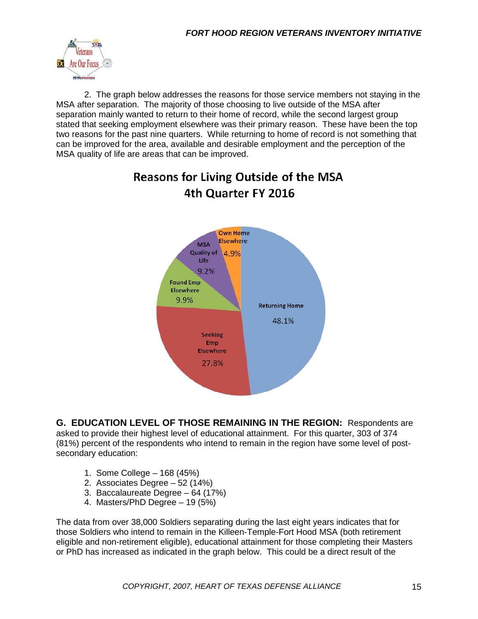

2. The graph below addresses the reasons for those service members not staying in the MSA after separation. The majority of those choosing to live outside of the MSA after separation mainly wanted to return to their home of record, while the second largest group stated that seeking employment elsewhere was their primary reason. These have been the top two reasons for the past nine quarters. While returning to home of record is not something that can be improved for the area, available and desirable employment and the perception of the MSA quality of life are areas that can be improved.



# **Reasons for Living Outside of the MSA** 4th Quarter FY 2016

**G. EDUCATION LEVEL OF THOSE REMAINING IN THE REGION:** Respondents are asked to provide their highest level of educational attainment. For this quarter, 303 of 374 (81%) percent of the respondents who intend to remain in the region have some level of postsecondary education:

- 1. Some College 168 (45%)
- 2. Associates Degree 52 (14%)
- 3. Baccalaureate Degree 64 (17%)
- 4. Masters/PhD Degree 19 (5%)

The data from over 38,000 Soldiers separating during the last eight years indicates that for those Soldiers who intend to remain in the Killeen-Temple-Fort Hood MSA (both retirement eligible and non-retirement eligible), educational attainment for those completing their Masters or PhD has increased as indicated in the graph below. This could be a direct result of the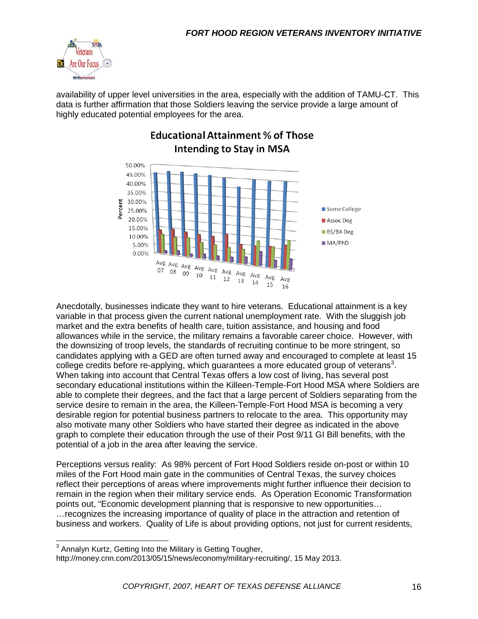

availability of upper level universities in the area, especially with the addition of TAMU-CT. This data is further affirmation that those Soldiers leaving the service provide a large amount of highly educated potential employees for the area.



# **Educational Attainment % of Those Intending to Stay in MSA**

Anecdotally, businesses indicate they want to hire veterans. Educational attainment is a key variable in that process given the current national unemployment rate. With the sluggish job market and the extra benefits of health care, tuition assistance, and housing and food allowances while in the service, the military remains a favorable career choice. However, with the downsizing of troop levels, the standards of recruiting continue to be more stringent, so candidates applying with a GED are often turned away and encouraged to complete at least 15 college credits before re-applying, which guarantees a more educated group of veterans<sup>[3](#page-15-0)</sup>. When taking into account that Central Texas offers a low cost of living, has several post secondary educational institutions within the Killeen-Temple-Fort Hood MSA where Soldiers are able to complete their degrees, and the fact that a large percent of Soldiers separating from the service desire to remain in the area, the Killeen-Temple-Fort Hood MSA is becoming a very desirable region for potential business partners to relocate to the area. This opportunity may also motivate many other Soldiers who have started their degree as indicated in the above graph to complete their education through the use of their Post 9/11 GI Bill benefits, with the potential of a job in the area after leaving the service.

Perceptions versus reality: As 98% percent of Fort Hood Soldiers reside on-post or within 10 miles of the Fort Hood main gate in the communities of Central Texas, the survey choices reflect their perceptions of areas where improvements might further influence their decision to remain in the region when their military service ends. As Operation Economic Transformation points out, "Economic development planning that is responsive to new opportunities… …recognizes the increasing importance of quality of place in the attraction and retention of business and workers. Quality of Life is about providing options, not just for current residents,

<span id="page-15-0"></span><sup>&</sup>lt;sup>3</sup> Annalyn Kurtz, Getting Into the Military is Getting Tougher,

http://money.cnn.com/2013/05/15/news/economy/military-recruiting/, 15 May 2013.